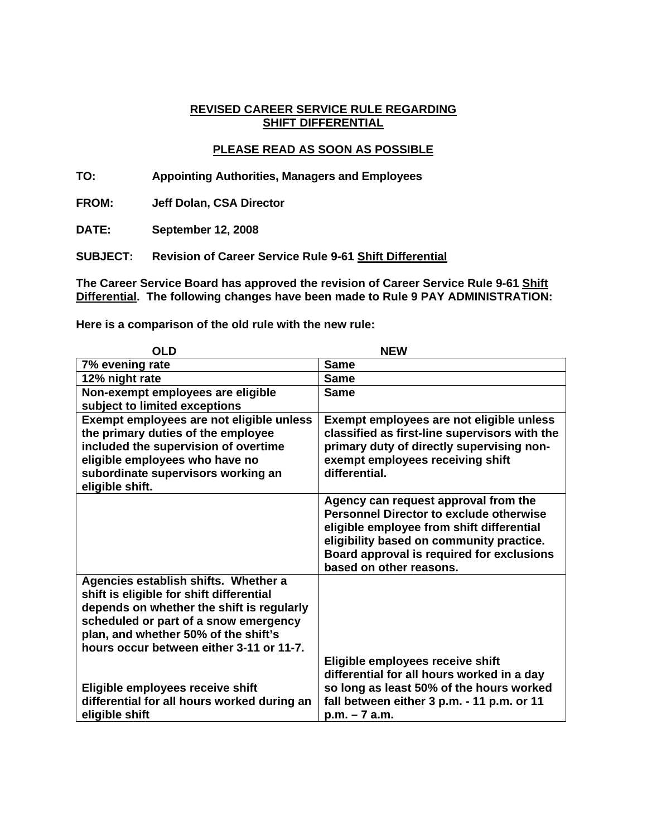### **REVISED CAREER SERVICE RULE REGARDING SHIFT DIFFERENTIAL**

# **PLEASE READ AS SOON AS POSSIBLE**

**TO: Appointing Authorities, Managers and Employees** 

**FROM: Jeff Dolan, CSA Director** 

**DATE: September 12, 2008** 

**SUBJECT: Revision of Career Service Rule 9-61 Shift Differential**

**The Career Service Board has approved the revision of Career Service Rule 9-61 Shift Differential. The following changes have been made to Rule 9 PAY ADMINISTRATION:** 

**Here is a comparison of the old rule with the new rule:** 

| <b>OLD</b>                                                                                                                                                                                                                                                 | <b>NEW</b>                                                                                                                                                                                                                                              |
|------------------------------------------------------------------------------------------------------------------------------------------------------------------------------------------------------------------------------------------------------------|---------------------------------------------------------------------------------------------------------------------------------------------------------------------------------------------------------------------------------------------------------|
| 7% evening rate                                                                                                                                                                                                                                            | <b>Same</b>                                                                                                                                                                                                                                             |
| 12% night rate                                                                                                                                                                                                                                             | <b>Same</b>                                                                                                                                                                                                                                             |
| Non-exempt employees are eligible<br>subject to limited exceptions                                                                                                                                                                                         | <b>Same</b>                                                                                                                                                                                                                                             |
| Exempt employees are not eligible unless<br>the primary duties of the employee<br>included the supervision of overtime<br>eligible employees who have no<br>subordinate supervisors working an<br>eligible shift.                                          | Exempt employees are not eligible unless<br>classified as first-line supervisors with the<br>primary duty of directly supervising non-<br>exempt employees receiving shift<br>differential.                                                             |
|                                                                                                                                                                                                                                                            | Agency can request approval from the<br><b>Personnel Director to exclude otherwise</b><br>eligible employee from shift differential<br>eligibility based on community practice.<br>Board approval is required for exclusions<br>based on other reasons. |
| Agencies establish shifts. Whether a<br>shift is eligible for shift differential<br>depends on whether the shift is regularly<br>scheduled or part of a snow emergency<br>plan, and whether 50% of the shift's<br>hours occur between either 3-11 or 11-7. |                                                                                                                                                                                                                                                         |
| Eligible employees receive shift<br>differential for all hours worked during an<br>eligible shift                                                                                                                                                          | Eligible employees receive shift<br>differential for all hours worked in a day<br>so long as least 50% of the hours worked<br>fall between either 3 p.m. - 11 p.m. or 11<br>$p.m. - 7 a.m.$                                                             |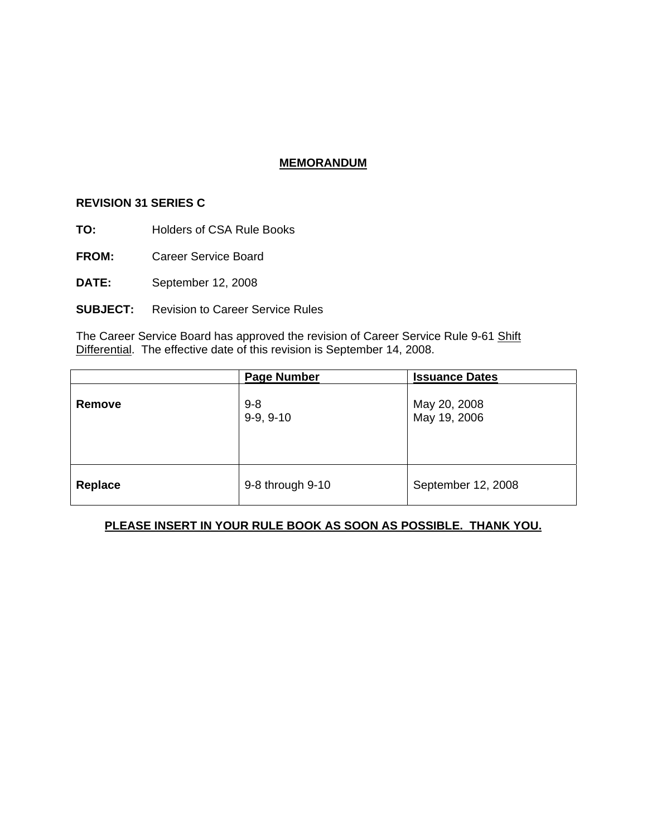## **MEMORANDUM**

#### **REVISION 31 SERIES C**

- **TO:** Holders of CSA Rule Books
- **FROM:** Career Service Board
- **DATE:** September 12, 2008
- **SUBJECT:** Revision to Career Service Rules

The Career Service Board has approved the revision of Career Service Rule 9-61 Shift Differential. The effective date of this revision is September 14, 2008.

|         | <b>Page Number</b>     | <b>Issuance Dates</b>        |
|---------|------------------------|------------------------------|
| Remove  | $9 - 8$<br>$9-9, 9-10$ | May 20, 2008<br>May 19, 2006 |
| Replace | 9-8 through 9-10       | September 12, 2008           |

# **PLEASE INSERT IN YOUR RULE BOOK AS SOON AS POSSIBLE. THANK YOU.**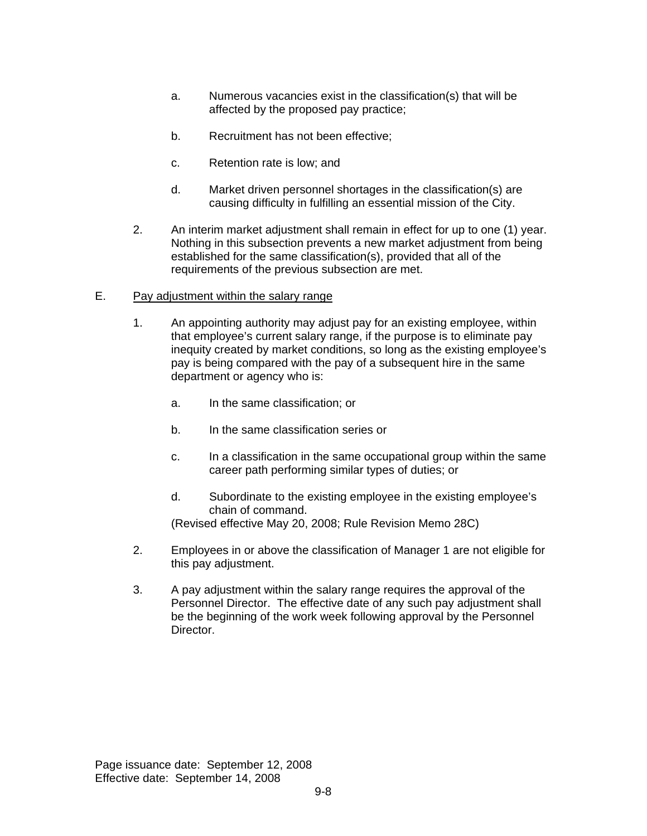- a. Numerous vacancies exist in the classification(s) that will be affected by the proposed pay practice;
- b. Recruitment has not been effective;
- c. Retention rate is low; and
- d. Market driven personnel shortages in the classification(s) are causing difficulty in fulfilling an essential mission of the City.
- 2. An interim market adjustment shall remain in effect for up to one (1) year. Nothing in this subsection prevents a new market adjustment from being established for the same classification(s), provided that all of the requirements of the previous subsection are met.
- E. Pay adjustment within the salary range
	- 1. An appointing authority may adjust pay for an existing employee, within that employee's current salary range, if the purpose is to eliminate pay inequity created by market conditions, so long as the existing employee's pay is being compared with the pay of a subsequent hire in the same department or agency who is:
		- a. In the same classification; or
		- b. In the same classification series or
		- c. In a classification in the same occupational group within the same career path performing similar types of duties; or
		- d. Subordinate to the existing employee in the existing employee's chain of command.

(Revised effective May 20, 2008; Rule Revision Memo 28C)

- 2. Employees in or above the classification of Manager 1 are not eligible for this pay adjustment.
- 3. A pay adjustment within the salary range requires the approval of the Personnel Director. The effective date of any such pay adjustment shall be the beginning of the work week following approval by the Personnel Director.

Page issuance date: September 12, 2008 Effective date: September 14, 2008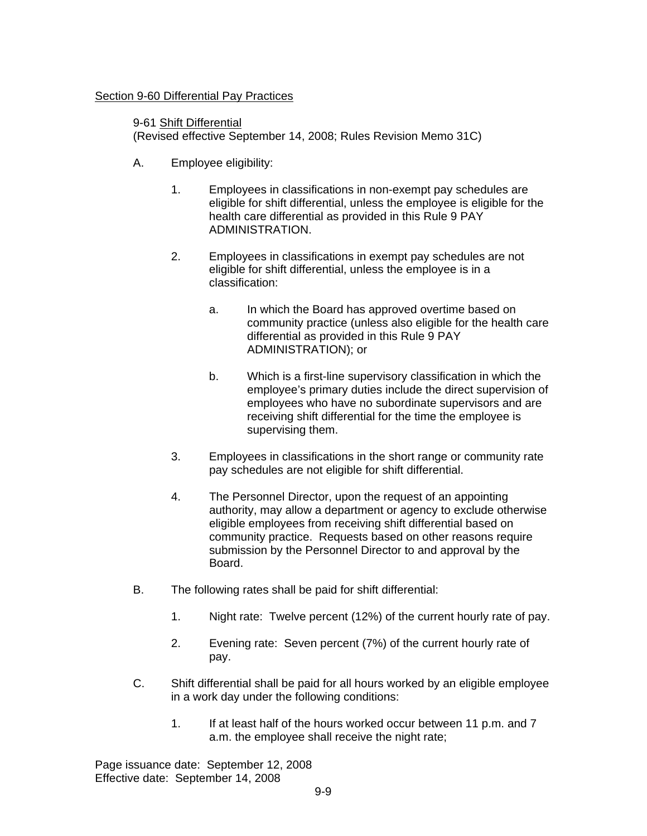### Section 9-60 Differential Pay Practices

9-61 Shift Differential (Revised effective September 14, 2008; Rules Revision Memo 31C)

- A. Employee eligibility:
	- 1. Employees in classifications in non-exempt pay schedules are eligible for shift differential, unless the employee is eligible for the health care differential as provided in this Rule 9 PAY ADMINISTRATION.
	- 2. Employees in classifications in exempt pay schedules are not eligible for shift differential, unless the employee is in a classification:
		- a. In which the Board has approved overtime based on community practice (unless also eligible for the health care differential as provided in this Rule 9 PAY ADMINISTRATION); or
		- b. Which is a first-line supervisory classification in which the employee's primary duties include the direct supervision of employees who have no subordinate supervisors and are receiving shift differential for the time the employee is supervising them.
	- 3. Employees in classifications in the short range or community rate pay schedules are not eligible for shift differential.
	- 4. The Personnel Director, upon the request of an appointing authority, may allow a department or agency to exclude otherwise eligible employees from receiving shift differential based on community practice. Requests based on other reasons require submission by the Personnel Director to and approval by the Board.
- B. The following rates shall be paid for shift differential:
	- 1. Night rate: Twelve percent (12%) of the current hourly rate of pay.
	- 2. Evening rate: Seven percent (7%) of the current hourly rate of pay.
- C. Shift differential shall be paid for all hours worked by an eligible employee in a work day under the following conditions:
	- 1. If at least half of the hours worked occur between 11 p.m. and 7 a.m. the employee shall receive the night rate;

Page issuance date: September 12, 2008 Effective date: September 14, 2008